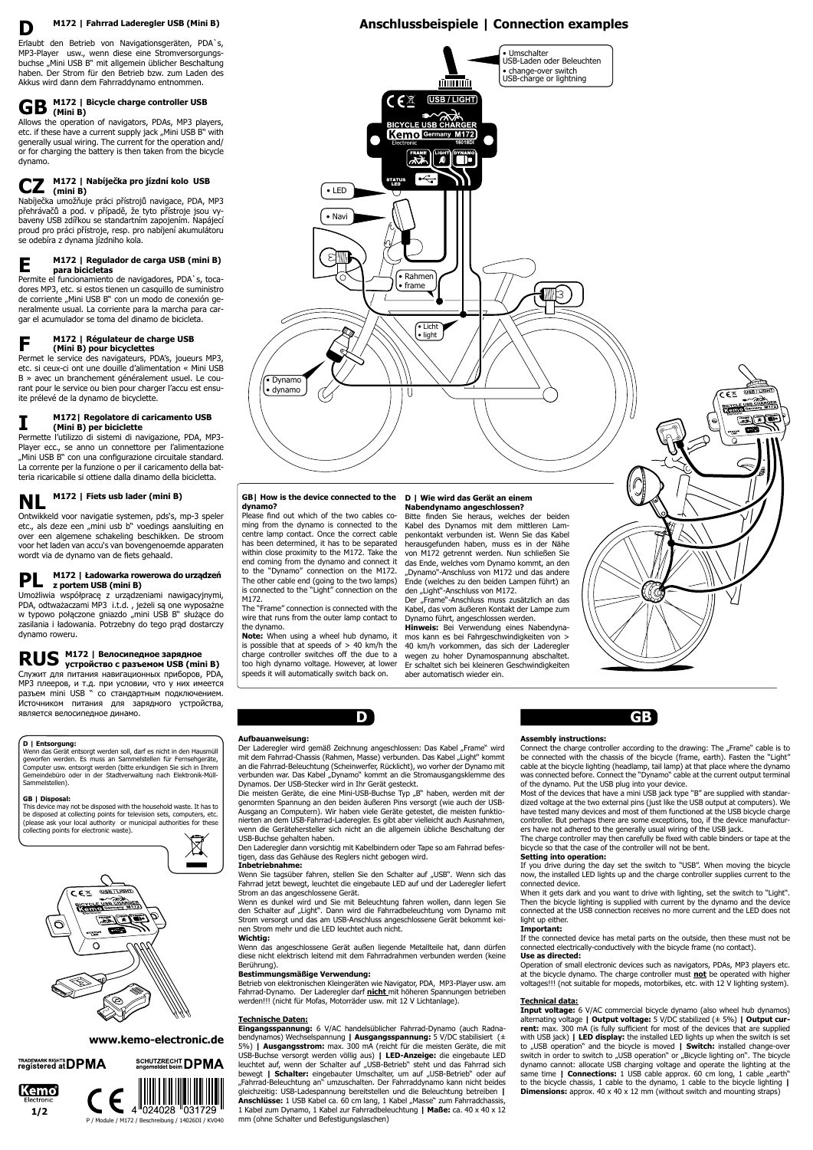# **M172 | Fahrrad Laderegler USB (Mini B)**

# **M172 | Bicycle charge controller USB**  $\mathbf{GB}$   $\overset{\text{M172}}{\underset{\text{(Mini B)}}{\phantom{\text{M172}}}}$

Erlaubt den Betrieb von Navigationsgeräten, PDA`s, MP3-Player usw., wenn diese eine Stromversorgungsbuchse "Mini USB B" mit allgemein üblicher Beschaltung haben. Der Strom für den Betrieb bzw. zum Laden des Akkus wird dann dem Fahrraddynamo entnommen.

Allows the operation of navigators, PDAs, MP3 players, etc. if these have a current supply jack "Mini USB B" with generally usual wiring. The current for the operation and/ or for charging the battery is then taken from the bicycle dynamo.

Nabíječka umožňuje práci přístrojů navigace, PDA, MP3 přehrávačů a pod. v případě, že tyto přístroje jsou vybaveny USB zdířkou se standartním zapojením. Napájecí proud pro práci přístroje, resp. pro nabíjení akumulátoru se odebíra z dynama jízdniho kola.

Permite el funcionamiento de navigadores, PDA`s, tocadores MP3, etc. si estos tienen un casquillo de suministro de corriente "Mini USB B" con un modo de conexión generalmente usual. La corriente para la marcha para cargar el acumulador se toma del dinamo de bicicleta.

# **M172 | Вeлосипeдное зaрядное RUS** M172 | Велосипедное зарядное<br>**RUS** устройство с разъемом USB (mini B)

Permet le service des navigateurs, PDA's, joueurs MP3, etc. si ceux-ci ont une douille d'alimentation « Mini USB B » avec un branchement généralement usuel. Le courant pour le service ou bien pour charger l'accu est ensuite prélevé de la dynamo de bicyclette.

#### **M172 | Nabíječka pro jízdní kolo USB (mini B) CZ**

Permette l'utilizzo di sistemi di navigazione, PDA, MP3- Player ecc., se anno un connettore per l'alimentazione "Mini USB B" con una configurazione circuitale standard. La corrente per la funzione o per il caricamento della batteria ricaricabile si ottiene dalla dinamo della bicicletta.

> Bitte finden Sie heraus, welches der beiden Kabel des Dynamos mit dem mittleren Lampenkontakt verbunden ist. Wenn Sie das Kabel herausgefunden haben, muss es in der Nähe von M172 getrennt werden. Nun schließen Sie das Ende, welches vom Dynamo kommt, an den "Dynamo"-Anschluss von M172 und das andere Ende (welches zu den beiden Lampen führt) an den "Light"-Anschluss von M172.

#### **M172 | Regulador de carga USB (mini B) para bicicletas E**

Der "Frame"-Anschluss muss zusätzlich an das Kabel, das vom äußeren Kontakt der Lampe zum Dynamo führt, angeschlossen werden.

#### **M172 | Régulateur de charge USB (Mini B) pour bicyclettes F**

Ontwikkeld voor navigatie systemen, pds's, mp-3 speler etc., als deze een "mini usb b" voedings aansluiting en over een algemene schakeling beschikken. De stroom voor het laden van accu's van bovengenoemde apparaten wordt via de dynamo van de fiets gehaald.

#### **M172| Regolatore di caricamento USB (Mini B) per biciclette I**

Umożliwia współpracę z urządzeniami nawigacyjnymi, PDA, odtważaczami MP3 i.t.d. , jeżeli są one wyposażne w typowo połączone gniazdo "mini USB B" służące do zasilania i ładowania. Potrzebny do tego prąd dostarczy dynamo roweru.

# **M172 | Fiets usb lader (mini B) NL**

#### **M172 | Ładowarka rowerowa do urządzeń z portem USB (mini B) PL**

Служит для питания навигационных приборов, PDA, MP3 плeeров, и т.д. при условии, что у них имеется разъем mini USB " со стaндaртным подключeниeм. Источником питaния для зарядного устройства, являeтся велосипедное динамо.

> Der Laderegler wird gemäß Zeichnung angeschlossen: Das Kabel "Frame" wird mit dem Fahrrad-Chassis (Rahmen, Masse) verbunden. Das Kabel "Light" kommt an die Fahrrad-Beleuchtung (Scheinwerfer, Rücklicht), wo vorher der Dynamo mit verbunden war. Das Kabel "Dynamo" kommt an die Stromausgangsklemme des Dynamos. Der USB-Stecker wird in Ihr Gerät gesteckt.

# **www.kemo-electronic.de**



# **D | Entsorgung:**

**D**



Die meisten Geräte, die eine Mini-USB-Buchse Typ "B" haben, werden mit der genormten Spannung an den beiden äußeren Pins versorgt (wie auch der USB-Ausgang an Computern). Wir haben viele Geräte getestet, die meisten funktionierten an dem USB-Fahrrad-Laderegler. Es gibt aber vielleicht auch Ausnahmen, wenn die Gerätehersteller sich nicht an die allgemein übliche Beschaltung der USB-Buchse gehalten haben.

Wenn das Gerät entsorgt werden soll, darf es nicht in den Hausmüll geworfen werden. Es muss an Sammelstellen für Fernsehgeräte, Computer usw. entsorgt werden (bitte erkundigen Sie sich in Ihrem Gemeindebüro oder in der Stadtverwaltung nach Elektronik-Müll-Sammelstellen).

> Wenn Sie tagsüber fahren, stellen Sie den Schalter auf "USB". Wenn sich das Fahrrad jetzt bewegt, leuchtet die eingebaute LED auf und der Laderegler liefert Strom an das angeschlossene Gerät.

# **GB | Disposal:**

This device may not be disposed with the household waste. It has to be disposed at collecting points for television sets, computers, etc. (please ask your local authority or municipal authorities for these collecting points for electronic waste).

# $\boxtimes$

# **D | Wie wird das Gerät an einem Nabendynamo angeschlossen?**

Connect the charge controller according to the drawing: The "Frame" cable is to be connected with the chassis of the bicycle (frame, earth). Fasten the "Light" cable at the bicycle lighting (headlamp, tail lamp) at that place where the dynamo was connected before. Connect the "Dynamo" cable at the current output terminal of the dynamo. Put the USB plug into your device.

**Hinweis:** Bei Verwendung eines Nabendynamos kann es bei Fahrgeschwindigkeiten von > is possible that at speeds of  $> 40$  km/h the  $\,$  40 km/h vorkommen, das sich der Laderegler wegen zu hoher Dynamospannung abschaltet. too high dynamo voltage. However, at lower Er schaltet sich bei kleineren Geschwindigkeiten to aber automatisch wieder ein.

# **GB| How is the device connected to the dynamo?**

When it gets dark and you want to drive with lighting, set the switch to "Light". Then the bicycle lighting is supplied with current by the dynamo and the device connected at the USB connection receives no more current and the LED does not light up either.

Please find out which of the two cables coming from the dynamo is connected to the centre lamp contact. Once the correct cable has been determined, it has to be separated within close proximity to the M172. Take the end coming from the dynamo and connect it to the "Dynamo" connection on the M172. The other cable end (going to the two lamps) is connected to the "Light" connection on the M172.

> **Input voltage:** 6 V/AC commercial bicycle dynamo (also wheel hub dynamos) alternating voltage **| Output voltage:** 5 V/DC stabilized (± 5%) **| Output current:** max. 300 mA (is fully sufficient for most of the devices that are supplied with USB jack) **| LED display:** the installed LED lights up when the switch is set to "USB operation" and the bicycle is moved **| Switch:** installed change-over switch in order to switch to "USB operation" or "Bicycle lighting on". The bicycle dynamo cannot: allocate USB charging voltage and operate the lighting at the same time | **Connections:** 1 USB cable approx. 60 cm long, 1 cable "earth" to the bicycle chassis, 1 cable to the dynamo, 1 cable to the bicycle lighting **| Dimensions:** approx. 40 x 40 x 12 mm (without switch and mounting straps)

The "Frame" connection is connected with the wire that runs from the outer lamp contact to the dynamo.

**Note:** When using a wheel hub dynamo, it charge controller switches off the due to a speeds it will automatically switch back on.

# **Aufbauanweisung:**

Den Laderegler dann vorsichtig mit Kabelbindern oder Tape so am Fahrrad befestigen, dass das Gehäuse des Reglers nicht gebogen wird.

# **Inbetriebnahme:**

Wenn es dunkel wird und Sie mit Beleuchtung fahren wollen, dann legen Sie den Schalter auf "Light". Dann wird die Fahrradbeleuchtung vom Dynamo mit Strom versorgt und das am USB-Anschluss angeschlossene Gerät bekommt keinen Strom mehr und die LED leuchtet auch nicht.

# **Wichtig:**

Wenn das angeschlossene Gerät außen liegende Metallteile hat, dann dürfen diese nicht elektrisch leitend mit dem Fahrradrahmen verbunden werden (keine Berührung).

# **Bestimmungsmäßige Verwendung:**

Betrieb von elektronischen Kleingeräten wie Navigator, PDA, MP3-Player usw. am Fahrrad-Dynamo. Der Laderegler darf **nicht** mit höheren Spannungen betrieben werden!!! (nicht für Mofas, Motorräder usw. mit 12 V Lichtanlage).

# **Technische Daten:**

**Eingangsspannung:** 6 V/AC handelsüblicher Fahrrad-Dynamo (auch Radnabendynamos) Wechselspannung **| Ausgangsspannung:** 5 V/DC stabilisiert (± 5%) **| Ausgangsstrom:** max. 300 mA (reicht für die meisten Geräte, die mit USB-Buchse versorgt werden völlig aus) **| LED-Anzeige:** die eingebaute LED leuchtet auf, wenn der Schalter auf "USB-Betrieb" steht und das Fahrrad sich bewegt | Schalter: eingebauter Umschalter, um auf "USB-Betrieb" oder auf "Fahrrad-Beleuchtung an" umzuschalten. Der Fahrraddynamo kann nicht beides gleichzeitig: USB-Ladespannung bereitstellen und die Beleuchtung betreiben **|** Anschlüsse: 1 USB Kabel ca. 60 cm lang, 1 Kabel "Masse" zum Fahrradchassis, 1 Kabel zum Dynamo, 1 Kabel zur Fahrradbeleuchtung **| Maße:** ca. 40 x 40 x 12 mm (ohne Schalter und Befestigungslaschen)

**D**

# **Assembly instructions:**

Most of the devices that have a mini USB jack type "B" are supplied with standardized voltage at the two external pins (just like the USB output at computers). We have tested many devices and most of them functioned at the USB bicycle charge controller. But perhaps there are some exceptions, too, if the device manufacturers have not adhered to the generally usual wiring of the USB jack.

The charge controller may then carefully be fixed with cable binders or tape at the bicycle so that the case of the controller will not be bent. **Setting into operation:**

If you drive during the day set the switch to "USB". When moving the bicycle



now, the installed LED lights up and the charge controller supplies current to the connected device.

# **Important:**

If the connected device has metal parts on the outside, then these must not be connected electrically-conductively with the bicycle frame (no contact).

# **Use as directed:**

Operation of small electronic devices such as navigators, PDAs, MP3 players etc. at the bicycle dynamo. The charge controller must **not** be operated with higher voltages!!! (not suitable for mopeds, motorbikes, etc. with 12 V lighting system).

#### **Technical data:**